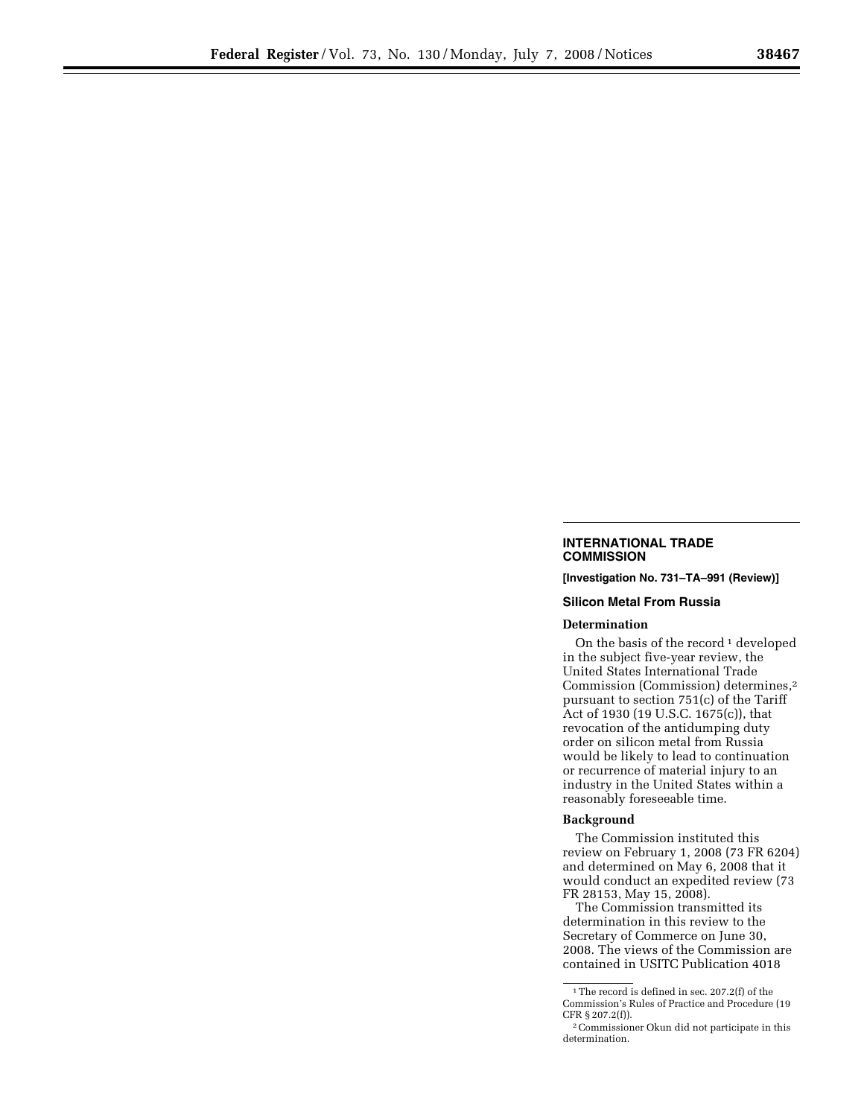## **INTERNATIONAL TRADE COMMISSION**

**[Investigation No. 731–TA–991 (Review)]** 

## **Silicon Metal From Russia**

## **Determination**

On the basis of the record<sup>1</sup> developed in the subject five-year review, the United States International Trade Commission (Commission) determines,2 pursuant to section 751(c) of the Tariff Act of 1930 (19 U.S.C. 1675(c)), that revocation of the antidumping duty order on silicon metal from Russia would be likely to lead to continuation or recurrence of material injury to an industry in the United States within a reasonably foreseeable time.

## **Background**

The Commission instituted this review on February 1, 2008 (73 FR 6204) and determined on May 6, 2008 that it would conduct an expedited review (73 FR 28153, May 15, 2008).

The Commission transmitted its determination in this review to the Secretary of Commerce on June 30, 2008. The views of the Commission are contained in USITC Publication 4018

<sup>1</sup>The record is defined in sec. 207.2(f) of the Commission's Rules of Practice and Procedure (19 CFR § 207.2(f)).

<sup>2</sup>Commissioner Okun did not participate in this determination.